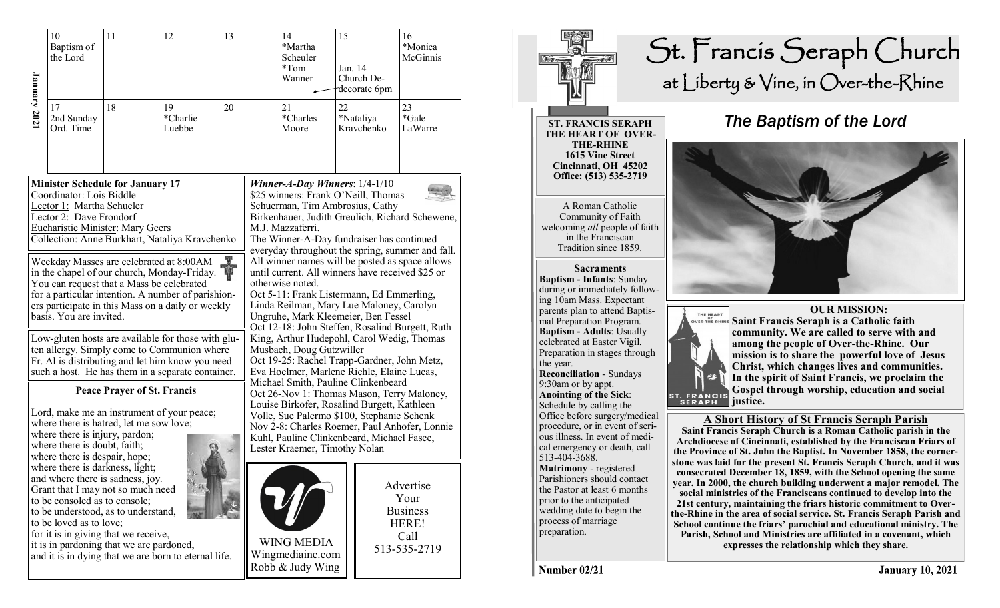| January 2021                                                                                                                                                                                                                                                                                   | 10<br>Baptism of<br>the Lord<br>17                                                                                                                                                                                                                                                                                                                      | 11<br>18 | 12<br>19           | 13<br>20                                                  |                                                                                                                                                                                                                                                                                                                                                                                                                                                                                                                                                                                                                                                                                                                                                                                                                                                                                                                                                                                                                                                                                           | 14<br>*Martha<br>Scheuler<br>$*Tom$<br>Wanner<br>21 | 15<br>Jan. 14<br>22                                                   | Church De-<br>decorate 6pm | 16<br>*Monica<br>McGinnis<br>23 |
|------------------------------------------------------------------------------------------------------------------------------------------------------------------------------------------------------------------------------------------------------------------------------------------------|---------------------------------------------------------------------------------------------------------------------------------------------------------------------------------------------------------------------------------------------------------------------------------------------------------------------------------------------------------|----------|--------------------|-----------------------------------------------------------|-------------------------------------------------------------------------------------------------------------------------------------------------------------------------------------------------------------------------------------------------------------------------------------------------------------------------------------------------------------------------------------------------------------------------------------------------------------------------------------------------------------------------------------------------------------------------------------------------------------------------------------------------------------------------------------------------------------------------------------------------------------------------------------------------------------------------------------------------------------------------------------------------------------------------------------------------------------------------------------------------------------------------------------------------------------------------------------------|-----------------------------------------------------|-----------------------------------------------------------------------|----------------------------|---------------------------------|
|                                                                                                                                                                                                                                                                                                | 2nd Sunday<br>Ord. Time                                                                                                                                                                                                                                                                                                                                 |          | *Charlie<br>Luebbe |                                                           |                                                                                                                                                                                                                                                                                                                                                                                                                                                                                                                                                                                                                                                                                                                                                                                                                                                                                                                                                                                                                                                                                           | *Charles<br>Moore                                   |                                                                       | *Nataliya<br>Kravchenko    | *Gale<br>LaWarre                |
| <b>Minister Schedule for January 17</b><br>Coordinator: Lois Biddle<br>Lector 1: Martha Schueler<br>Lector 2: Dave Frondorf<br><b>Eucharistic Minister: Mary Geers</b><br>Collection: Anne Burkhart, Nataliya Kravchenko                                                                       |                                                                                                                                                                                                                                                                                                                                                         |          |                    |                                                           | Winner-A-Day Winners: $1/4-1/10$<br>\$25 winners: Frank O'Neill, Thomas<br>Schuerman, Tim Ambrosius, Cathy<br>Birkenhauer, Judith Greulich, Richard Schewene,<br>M.J. Mazzaferri.<br>The Winner-A-Day fundraiser has continued<br>everyday throughout the spring, summer and fall.<br>All winner names will be posted as space allows<br>until current. All winners have received \$25 or<br>otherwise noted.<br>Oct 5-11: Frank Listermann, Ed Emmerling,<br>Linda Reilman, Mary Lue Maloney, Carolyn<br>Ungruhe, Mark Kleemeier, Ben Fessel<br>Oct 12-18: John Steffen, Rosalind Burgett, Ruth<br>King, Arthur Hudepohl, Carol Wedig, Thomas<br>Musbach, Doug Gutzwiller<br>Oct 19-25: Rachel Trapp-Gardner, John Metz,<br>Eva Hoelmer, Marlene Riehle, Elaine Lucas,<br>Michael Smith, Pauline Clinkenbeard<br>Oct 26-Nov 1: Thomas Mason, Terry Maloney,<br>Louise Birkofer, Rosalind Burgett, Kathleen<br>Volle, Sue Palermo \$100, Stephanie Schenk<br>Nov 2-8: Charles Roemer, Paul Anhofer, Lonnie<br>Kuhl, Pauline Clinkenbeard, Michael Fasce,<br>Lester Kraemer, Timothy Nolan |                                                     |                                                                       |                            |                                 |
| Weekday Masses are celebrated at 8:00AM<br>$\mathbb{R}$<br>W<br>in the chapel of our church, Monday-Friday.<br>You can request that a Mass be celebrated<br>for a particular intention. A number of parishion-<br>ers participate in this Mass on a daily or weekly<br>basis. You are invited. |                                                                                                                                                                                                                                                                                                                                                         |          |                    |                                                           |                                                                                                                                                                                                                                                                                                                                                                                                                                                                                                                                                                                                                                                                                                                                                                                                                                                                                                                                                                                                                                                                                           |                                                     |                                                                       |                            |                                 |
| Low-gluten hosts are available for those with glu-<br>ten allergy. Simply come to Communion where<br>Fr. Al is distributing and let him know you need<br>such a host. He has them in a separate container.                                                                                     |                                                                                                                                                                                                                                                                                                                                                         |          |                    |                                                           |                                                                                                                                                                                                                                                                                                                                                                                                                                                                                                                                                                                                                                                                                                                                                                                                                                                                                                                                                                                                                                                                                           |                                                     |                                                                       |                            |                                 |
| <b>Peace Prayer of St. Francis</b><br>Lord, make me an instrument of your peace;<br>where there is hatred, let me sow love;<br>where there is injury, pardon;<br>where there is doubt, faith;<br>where there is despair, hope;                                                                 |                                                                                                                                                                                                                                                                                                                                                         |          |                    |                                                           |                                                                                                                                                                                                                                                                                                                                                                                                                                                                                                                                                                                                                                                                                                                                                                                                                                                                                                                                                                                                                                                                                           |                                                     |                                                                       |                            |                                 |
|                                                                                                                                                                                                                                                                                                | where there is darkness, light;<br>and where there is sadness, joy.<br>Grant that I may not so much need<br>to be consoled as to console;<br>to be understood, as to understand,<br>to be loved as to love;<br>for it is in giving that we receive,<br>it is in pardoning that we are pardoned,<br>and it is in dying that we are born to eternal life. |          |                    | <b>WING MEDIA</b><br>Wingmediainc.com<br>Robb & Judy Wing |                                                                                                                                                                                                                                                                                                                                                                                                                                                                                                                                                                                                                                                                                                                                                                                                                                                                                                                                                                                                                                                                                           |                                                     | Advertise<br>Your<br><b>Business</b><br>HERE!<br>Call<br>513-535-2719 |                            |                                 |



**Number 02/21**